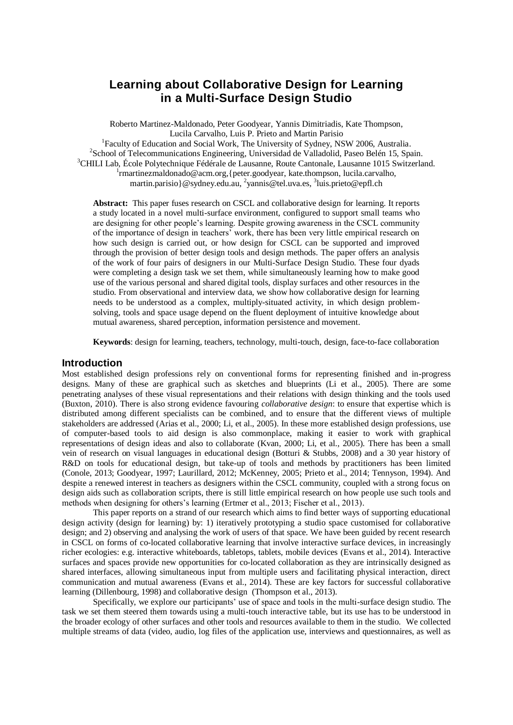# **Learning about Collaborative Design for Learning in a Multi-Surface Design Studio**

Roberto Martinez-Maldonado, Peter Goodyear, Yannis Dimitriadis, Kate Thompson, Lucila Carvalho, Luis P. Prieto and Martin Parisio

<sup>1</sup>Faculty of Education and Social Work, The University of Sydney, NSW 2006, Australia. <sup>2</sup>School of Telecommunications Engineering, Universidad de Valladolid, Paseo Belén 15, Spain. <sup>3</sup>CHILI Lab, École Polytechnique Fédérale de Lausanne, Route Cantonale, Lausanne 1015 Switzerland. 1 [rmartinezmaldonado@acm.org,](mailto:1roberto@it.usyd.edu.au){peter.goodyear, kate.thompson, lucila.carvalho, martin.parisio}@sydney.edu.au, <sup>2</sup>[yannis@tel.uva.es,](mailto:yannis@tel.uva.es) <sup>3</sup>[luis.prieto@epfl.ch](mailto:luis.prieto@epfl.ch)

**Abstract:** This paper fuses research on CSCL and collaborative design for learning. It reports a study located in a novel multi-surface environment, configured to support small teams who are designing for other people's learning. Despite growing awareness in the CSCL community of the importance of design in teachers' work, there has been very little empirical research on how such design is carried out, or how design for CSCL can be supported and improved through the provision of better design tools and design methods. The paper offers an analysis of the work of four pairs of designers in our Multi-Surface Design Studio. These four dyads were completing a design task we set them, while simultaneously learning how to make good use of the various personal and shared digital tools, display surfaces and other resources in the studio. From observational and interview data, we show how collaborative design for learning needs to be understood as a complex, multiply-situated activity, in which design problemsolving, tools and space usage depend on the fluent deployment of intuitive knowledge about mutual awareness, shared perception, information persistence and movement.

**Keywords**: design for learning, teachers, technology, multi-touch, design, face-to-face collaboration

### **Introduction**

Most established design professions rely on conventional forms for representing finished and in-progress designs. Many of these are graphical such as sketches and blueprints (Li et al., 2005). There are some penetrating analyses of these visual representations and their relations with design thinking and the tools used (Buxton, 2010). There is also strong evidence favouring *collaborative design*: to ensure that expertise which is distributed among different specialists can be combined, and to ensure that the different views of multiple stakeholders are addressed (Arias et al., 2000; Li, et al., 2005). In these more established design professions, use of computer-based tools to aid design is also commonplace, making it easier to work with graphical representations of design ideas and also to collaborate (Kvan, 2000; Li, et al., 2005). There has been a small vein of research on visual languages in educational design (Botturi & Stubbs, 2008) and a 30 year history of R&D on tools for educational design, but take-up of tools and methods by practitioners has been limited (Conole, 2013; Goodyear, 1997; Laurillard, 2012; McKenney, 2005; Prieto et al., 2014; Tennyson, 1994). And despite a renewed interest in teachers as designers within the CSCL community, coupled with a strong focus on design aids such as collaboration scripts, there is still little empirical research on how people use such tools and methods when designing for others's learning (Ertmer et al., 2013; Fischer et al., 2013).

This paper reports on a strand of our research which aims to find better ways of supporting educational design activity (design for learning) by: 1) iteratively prototyping a studio space customised for collaborative design; and 2) observing and analysing the work of users of that space. We have been guided by recent research in CSCL on forms of co-located collaborative learning that involve interactive surface devices, in increasingly richer ecologies: e.g. interactive whiteboards, tabletops, tablets, mobile devices (Evans et al., 2014). Interactive surfaces and spaces provide new opportunities for co-located collaboration as they are intrinsically designed as shared interfaces, allowing simultaneous input from multiple users and facilitating physical interaction, direct communication and mutual awareness (Evans et al., 2014). These are key factors for successful collaborative learning (Dillenbourg, 1998) and collaborative design (Thompson et al., 2013).

Specifically, we explore our participants' use of space and tools in the multi-surface design studio. The task we set them steered them towards using a multi-touch interactive table, but its use has to be understood in the broader ecology of other surfaces and other tools and resources available to them in the studio. We collected multiple streams of data (video, audio, log files of the application use, interviews and questionnaires, as well as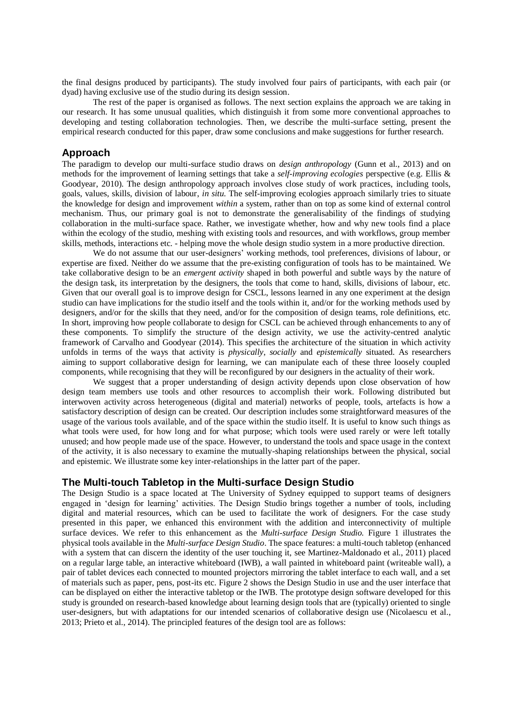the final designs produced by participants). The study involved four pairs of participants, with each pair (or dyad) having exclusive use of the studio during its design session.

The rest of the paper is organised as follows. The next section explains the approach we are taking in our research. It has some unusual qualities, which distinguish it from some more conventional approaches to developing and testing collaboration technologies. Then, we describe the multi-surface setting, present the empirical research conducted for this paper, draw some conclusions and make suggestions for further research.

#### **Approach**

The paradigm to develop our multi-surface studio draws on *design anthropology* (Gunn et al., 2013) and on methods for the improvement of learning settings that take a *self-improving ecologies* perspective (e.g. Ellis & Goodyear, 2010). The design anthropology approach involves close study of work practices, including tools, goals, values, skills, division of labour, *in situ*. The self-improving ecologies approach similarly tries to situate the knowledge for design and improvement *within* a system, rather than on top as some kind of external control mechanism. Thus, our primary goal is not to demonstrate the generalisability of the findings of studying collaboration in the multi-surface space. Rather, we investigate whether, how and why new tools find a place within the ecology of the studio, meshing with existing tools and resources, and with workflows, group member skills, methods, interactions etc. - helping move the whole design studio system in a more productive direction.

We do not assume that our user-designers' working methods, tool preferences, divisions of labour, or expertise are fixed. Neither do we assume that the pre-existing configuration of tools has to be maintained. We take collaborative design to be an *emergent activity* shaped in both powerful and subtle ways by the nature of the design task, its interpretation by the designers, the tools that come to hand, skills, divisions of labour, etc. Given that our overall goal is to improve design for CSCL, lessons learned in any one experiment at the design studio can have implications for the studio itself and the tools within it, and/or for the working methods used by designers, and/or for the skills that they need, and/or for the composition of design teams, role definitions, etc. In short, improving how people collaborate to design for CSCL can be achieved through enhancements to any of these components. To simplify the structure of the design activity, we use the activity-centred analytic framework of Carvalho and Goodyear (2014). This specifies the architecture of the situation in which activity unfolds in terms of the ways that activity is *physically*, *socially* and *epistemically* situated. As researchers aiming to support collaborative design for learning, we can manipulate each of these three loosely coupled components, while recognising that they will be reconfigured by our designers in the actuality of their work.

We suggest that a proper understanding of design activity depends upon close observation of how design team members use tools and other resources to accomplish their work. Following distributed but interwoven activity across heterogeneous (digital and material) networks of people, tools, artefacts is how a satisfactory description of design can be created. Our description includes some straightforward measures of the usage of the various tools available, and of the space within the studio itself. It is useful to know such things as what tools were used, for how long and for what purpose; which tools were used rarely or were left totally unused; and how people made use of the space. However, to understand the tools and space usage in the context of the activity, it is also necessary to examine the mutually-shaping relationships between the physical, social and epistemic. We illustrate some key inter-relationships in the latter part of the paper.

#### **The Multi-touch Tabletop in the Multi-surface Design Studio**

The Design Studio is a space located at The University of Sydney equipped to support teams of designers engaged in 'design for learning' activities. The Design Studio brings together a number of tools, including digital and material resources, which can be used to facilitate the work of designers. For the case study presented in this paper, we enhanced this environment with the addition and interconnectivity of multiple surface devices. We refer to this enhancement as the *Multi-surface Design Studio.* Figure 1 illustrates the physical tools available in the *Multi-surface Design Studio*. The space features: a multi-touch tabletop (enhanced with a system that can discern the identity of the user touching it, see Martinez-Maldonado et al., 2011) placed on a regular large table, an interactive whiteboard (IWB), a wall painted in whiteboard paint (writeable wall), a pair of tablet devices each connected to mounted projectors mirroring the tablet interface to each wall, and a set of materials such as paper, pens, post-its etc. Figure 2 shows the Design Studio in use and the user interface that can be displayed on either the interactive tabletop or the IWB. The prototype design software developed for this study is grounded on research-based knowledge about learning design tools that are (typically) oriented to single user-designers, but with adaptations for our intended scenarios of collaborative design use (Nicolaescu et al., 2013; Prieto et al., 2014). The principled features of the design tool are as follows: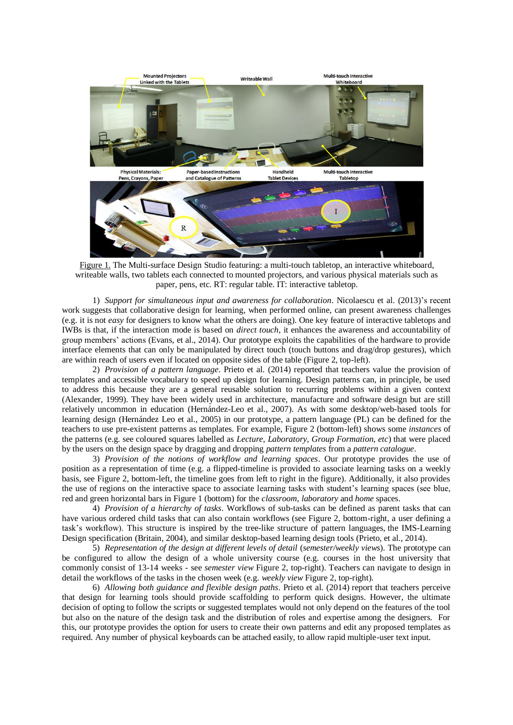

Figure 1. The Multi-surface Design Studio featuring: a multi-touch tabletop, an interactive whiteboard, writeable walls, two tablets each connected to mounted projectors, and various physical materials such as paper, pens, etc. RT: regular table. IT: interactive tabletop.

1) *Support for simultaneous input and awareness for collaboration*. Nicolaescu et al. (2013)'s recent work suggests that collaborative design for learning, when performed online, can present awareness challenges (e.g. it is not *easy* for designers to know what the others are doing). One key feature of interactive tabletops and IWBs is that, if the interaction mode is based on *direct touch*, it enhances the awareness and accountability of group members' actions (Evans, et al., 2014). Our prototype exploits the capabilities of the hardware to provide interface elements that can only be manipulated by direct touch (touch buttons and drag/drop gestures), which are within reach of users even if located on opposite sides of the table (Figure 2, top-left).

2) *Provision of a pattern language*. Prieto et al. (2014) reported that teachers value the provision of templates and accessible vocabulary to speed up design for learning. Design patterns can, in principle, be used to address this because they are a general reusable solution to recurring problems within a given context (Alexander, 1999). They have been widely used in architecture, manufacture and software design but are still relatively uncommon in education (Hernández-Leo et al., 2007). As with some desktop/web-based tools for learning design (Hernández Leo et al., 2005) in our prototype, a pattern language (PL) can be defined for the teachers to use pre-existent patterns as templates. For example, Figure 2 (bottom-left) shows some *instances* of the patterns (e.g. see coloured squares labelled as *Lecture*, *Laboratory*, *Group Formation, etc*) that were placed by the users on the design space by dragging and dropping *pattern templates* from a *pattern catalogue*.

3) *Provision of the notions of workflow and learning spaces*. Our prototype provides the use of position as a representation of time (e.g. a flipped-timeline is provided to associate learning tasks on a weekly basis, see Figure 2, bottom-left, the timeline goes from left to right in the figure). Additionally, it also provides the use of regions on the interactive space to associate learning tasks with student's learning spaces (see blue, red and green horizontal bars in Figure 1 (bottom) for the *classroom*, *laboratory* and *home* spaces.

4) *Provision of a hierarchy of tasks*. Workflows of sub-tasks can be defined as parent tasks that can have various ordered child tasks that can also contain workflows (see Figure 2, bottom-right, a user defining a task's workflow). This structure is inspired by the tree-like structure of pattern languages, the IMS-Learning Design specification (Britain, 2004), and similar desktop-based learning design tools (Prieto, et al., 2014).

5) *Representation of the design at different levels of detail* (*semester/weekly views*). The prototype can be configured to allow the design of a whole university course (e.g. courses in the host university that commonly consist of 13-14 weeks - see *semester view* Figure 2, top-right). Teachers can navigate to design in detail the workflows of the tasks in the chosen week (e.g. *weekly view* Figure 2, top-right).

6) *Allowing both guidance and flexible design paths*. Prieto et al. (2014) report that teachers perceive that design for learning tools should provide scaffolding to perform quick designs. However, the ultimate decision of opting to follow the scripts or suggested templates would not only depend on the features of the tool but also on the nature of the design task and the distribution of roles and expertise among the designers. For this, our prototype provides the option for users to create their own patterns and edit any proposed templates as required. Any number of physical keyboards can be attached easily, to allow rapid multiple-user text input.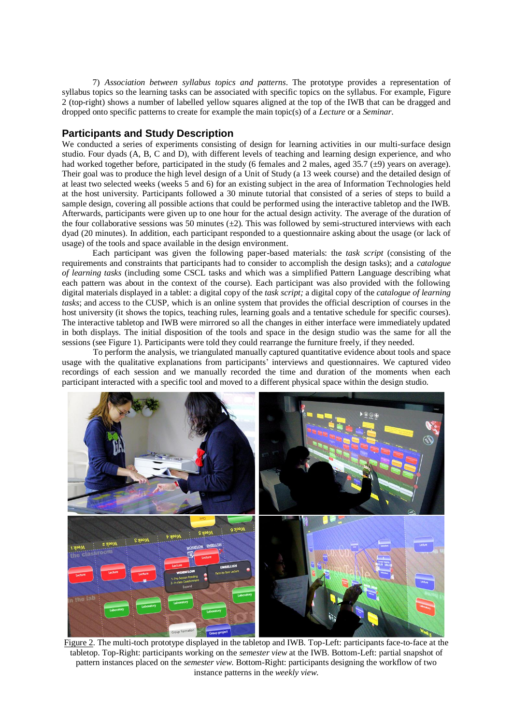7) *Association between syllabus topics and patterns*. The prototype provides a representation of syllabus topics so the learning tasks can be associated with specific topics on the syllabus. For example, Figure 2 (top-right) shows a number of labelled yellow squares aligned at the top of the IWB that can be dragged and dropped onto specific patterns to create for example the main topic(s) of a *Lecture* or a *Seminar*.

## **Participants and Study Description**

We conducted a series of experiments consisting of design for learning activities in our multi-surface design studio. Four dyads (A, B, C and D), with different levels of teaching and learning design experience, and who had worked together before, participated in the study (6 females and 2 males, aged 35.7  $(\pm 9)$  years on average). Their goal was to produce the high level design of a Unit of Study (a 13 week course) and the detailed design of at least two selected weeks (weeks 5 and 6) for an existing subject in the area of Information Technologies held at the host university. Participants followed a 30 minute tutorial that consisted of a series of steps to build a sample design, covering all possible actions that could be performed using the interactive tabletop and the IWB. Afterwards, participants were given up to one hour for the actual design activity. The average of the duration of the four collaborative sessions was 50 minutes  $(\pm 2)$ . This was followed by semi-structured interviews with each dyad (20 minutes). In addition, each participant responded to a questionnaire asking about the usage (or lack of usage) of the tools and space available in the design environment.

Each participant was given the following paper-based materials: the *task script* (consisting of the requirements and constraints that participants had to consider to accomplish the design tasks); and a *catalogue of learning tasks* (including some CSCL tasks and which was a simplified Pattern Language describing what each pattern was about in the context of the course). Each participant was also provided with the following digital materials displayed in a tablet: a digital copy of the *task script;* a digital copy of the *catalogue of learning tasks*; and access to the CUSP, which is an online system that provides the official description of courses in the host university (it shows the topics, teaching rules, learning goals and a tentative schedule for specific courses). The interactive tabletop and IWB were mirrored so all the changes in either interface were immediately updated in both displays. The initial disposition of the tools and space in the design studio was the same for all the sessions (see Figure 1). Participants were told they could rearrange the furniture freely, if they needed.

To perform the analysis, we triangulated manually captured quantitative evidence about tools and space usage with the qualitative explanations from participants' interviews and questionnaires. We captured video recordings of each session and we manually recorded the time and duration of the moments when each participant interacted with a specific tool and moved to a different physical space within the design studio.



Figure 2. The multi-toch prototype displayed in the tabletop and IWB. Top-Left: participants face-to-face at the tabletop. Top-Right: participants working on the *semester view* at the IWB. Bottom-Left: partial snapshot of pattern instances placed on the *semester view*. Bottom-Right: participants designing the workflow of two instance patterns in the *weekly view*.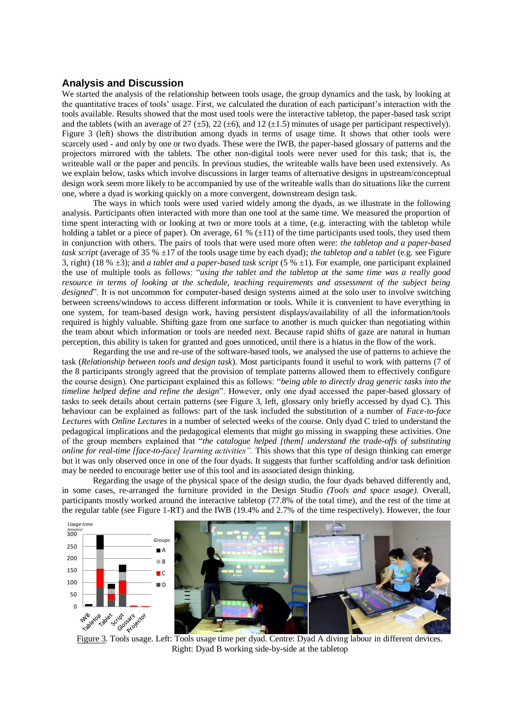# **Analysis and Discussion**

We started the analysis of the relationship between tools usage, the group dynamics and the task, by looking at the quantitative traces of tools' usage. First, we calculated the duration of each participant's interaction with the tools available. Results showed that the most used tools were the interactive tabletop, the paper-based task script and the tablets (with an average of 27 ( $\pm$ 5), 22 ( $\pm$ 6), and 12 ( $\pm$ 1.5) minutes of usage per participant respectively). Figure 3 (left) shows the distribution among dyads in terms of usage time. It shows that other tools were scarcely used - and only by one or two dyads. These were the IWB, the paper-based glossary of patterns and the projectors mirrored with the tablets. The other non-digital tools were never used for this task; that is, the writeable wall or the paper and pencils. In previous studies, the writeable walls have been used extensively. As we explain below, tasks which involve discussions in larger teams of alternative designs in upstream/conceptual design work seem more likely to be accompanied by use of the writeable walls than do situations like the current one, where a dyad is working quickly on a more convergent, downstream design task.

The ways in which tools were used varied widely among the dyads, as we illustrate in the following analysis. Participants often interacted with more than one tool at the same time. We measured the proportion of time spent interacting with or looking at two or more tools at a time, (e.g. interacting with the tabletop while holding a tablet or a piece of paper). On average, 61 %  $(\pm 11)$  of the time participants used tools, they used them in conjunction with others. The pairs of tools that were used more often were: *the tabletop and a paper-based task script* (average of 35 % ±17 of the tools usage time by each dyad); *the tabletop and a tablet* (e.g. see Figure 3, right) (18 % ±3); and *a tablet and a paper-based task script* (5 % ±1). For example, one participant explained the use of multiple tools as follows: "*using the tablet and the tabletop at the same time was a really good resource in terms of looking at the schedule, teaching requirements and assessment of the subject being designed*". It is not uncommon for computer-based design systems aimed at the solo user to involve switching between screens/windows to access different information or tools. While it is convenient to have everything in one system, for team-based design work, having persistent displays/availability of all the information/tools required is highly valuable. Shifting gaze from one surface to another is much quicker than negotiating within the team about which information or tools are needed next. Because rapid shifts of gaze are natural in human perception, this ability is taken for granted and goes unnoticed, until there is a hiatus in the flow of the work.

Regarding the use and re-use of the software-based tools, we analysed the use of patterns to achieve the task (*Relationship between tools and design task*). Most participants found it useful to work with patterns (7 of the 8 participants strongly agreed that the provision of template patterns allowed them to effectively configure the course design). One participant explained this as follows: "*being able to directly drag generic tasks into the timeline helped define and refine the design*". However, only one dyad accessed the paper-based glossary of tasks to seek details about certain patterns (see Figure 3, left, glossary only briefly accessed by dyad C). This behaviour can be explained as follows: part of the task included the substitution of a number of *Face-to-face Lectures* with *Online Lectures* in a number of selected weeks of the course. Only dyad C tried to understand the pedagogical implications and the pedagogical elements that might go missing in swapping these activities. One of the group members explained that "*the catalogue helped [them] understand the trade-offs of substituting online for real-time [face-to-face] learning activities".* This shows that this type of design thinking can emerge but it was only observed once in one of the four dyads. It suggests that further scaffolding and/or task definition may be needed to encourage better use of this tool and its associated design thinking.

Regarding the usage of the physical space of the design studio, the four dyads behaved differently and, in some cases, re-arranged the furniture provided in the Design Studio *(Tools and space usage)*. Overall, participants mostly worked around the interactive tabletop (77.8% of the total time), and the rest of the time at the regular table (see Figure 1-RT) and the IWB (19.4% and 2.7% of the time respectively). However, the four



Right: Dyad B working side-by-side at the tabletop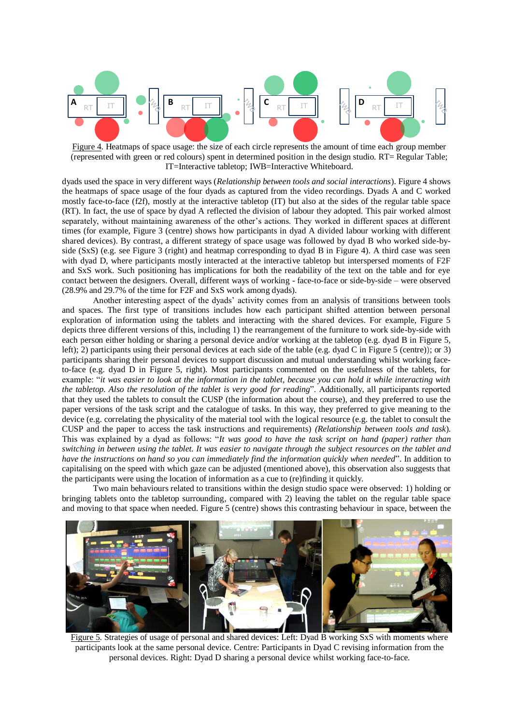

Figure 4. Heatmaps of space usage: the size of each circle represents the amount of time each group member (represented with green or red colours) spent in determined position in the design studio. RT= Regular Table; IT=Interactive tabletop; IWB=Interactive Whiteboard.

dyads used the space in very different ways (*Relationship between tools and social interactions*). Figure 4 shows the heatmaps of space usage of the four dyads as captured from the video recordings. Dyads A and C worked mostly face-to-face (f2f), mostly at the interactive tabletop (IT) but also at the sides of the regular table space (RT). In fact, the use of space by dyad A reflected the division of labour they adopted. This pair worked almost separately, without maintaining awareness of the other's actions. They worked in different spaces at different times (for example, Figure 3 (centre) shows how participants in dyad A divided labour working with different shared devices). By contrast, a different strategy of space usage was followed by dyad B who worked side-byside (SxS) (e.g. see Figure 3 (right) and heatmap corresponding to dyad B in Figure 4). A third case was seen with dyad D, where participants mostly interacted at the interactive tabletop but interspersed moments of F2F and SxS work. Such positioning has implications for both the readability of the text on the table and for eye contact between the designers. Overall, different ways of working - face-to-face or side-by-side – were observed (28.9% and 29.7% of the time for F2F and SxS work among dyads).

Another interesting aspect of the dyads' activity comes from an analysis of transitions between tools and spaces. The first type of transitions includes how each participant shifted attention between personal exploration of information using the tablets and interacting with the shared devices. For example, Figure 5 depicts three different versions of this, including 1) the rearrangement of the furniture to work side-by-side with each person either holding or sharing a personal device and/or working at the tabletop (e.g. dyad B in Figure 5, left); 2) participants using their personal devices at each side of the table (e.g. dyad C in Figure 5 (centre)); or 3) participants sharing their personal devices to support discussion and mutual understanding whilst working faceto-face (e.g. dyad D in Figure 5, right). Most participants commented on the usefulness of the tablets, for example: "*it was easier to look at the information in the tablet, because you can hold it while interacting with the tabletop. Also the resolution of the tablet is very good for reading*". Additionally, all participants reported that they used the tablets to consult the CUSP (the information about the course), and they preferred to use the paper versions of the task script and the catalogue of tasks. In this way, they preferred to give meaning to the device (e.g. correlating the physicality of the material tool with the logical resource (e.g. the tablet to consult the CUSP and the paper to access the task instructions and requirements) *(Relationship between tools and task*). This was explained by a dyad as follows: "*It was good to have the task script on hand (paper) rather than switching in between using the tablet. It was easier to navigate through the subject resources on the tablet and have the instructions on hand so you can immediately find the information quickly when needed*". In addition to capitalising on the speed with which gaze can be adjusted (mentioned above), this observation also suggests that the participants were using the location of information as a cue to (re)finding it quickly.

Two main behaviours related to transitions within the design studio space were observed: 1) holding or bringing tablets onto the tabletop surrounding, compared with 2) leaving the tablet on the regular table space and moving to that space when needed. Figure 5 (centre) shows this contrasting behaviour in space, between the



Figure 5. Strategies of usage of personal and shared devices: Left: Dyad B working SxS with moments where participants look at the same personal device. Centre: Participants in Dyad C revising information from the personal devices. Right: Dyad D sharing a personal device whilst working face-to-face.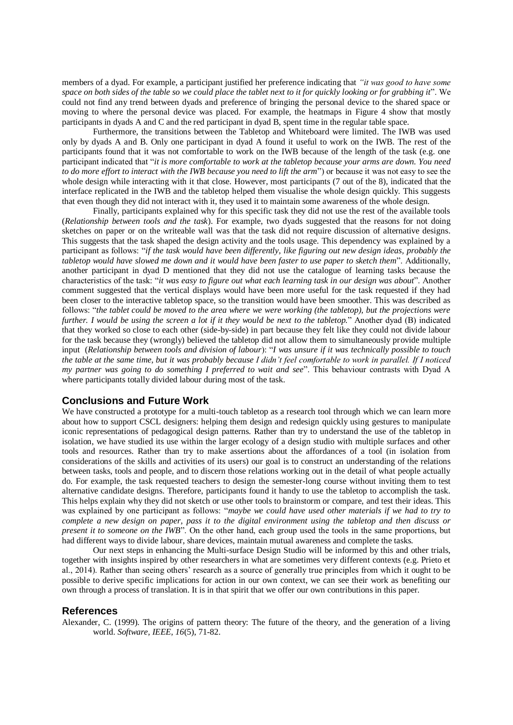members of a dyad. For example, a participant justified her preference indicating that *"it was good to have some space on both sides of the table so we could place the tablet next to it for quickly looking or for grabbing it*". We could not find any trend between dyads and preference of bringing the personal device to the shared space or moving to where the personal device was placed. For example, the heatmaps in Figure 4 show that mostly participants in dyads A and C and the red participant in dyad B, spent time in the regular table space.

Furthermore, the transitions between the Tabletop and Whiteboard were limited. The IWB was used only by dyads A and B. Only one participant in dyad A found it useful to work on the IWB. The rest of the participants found that it was not comfortable to work on the IWB because of the length of the task (e.g. one participant indicated that "*it is more comfortable to work at the tabletop because your arms are down. You need to do more effort to interact with the IWB because you need to lift the arm*") or because it was not easy to see the whole design while interacting with it that close. However, most participants (7 out of the 8), indicated that the interface replicated in the IWB and the tabletop helped them visualise the whole design quickly. This suggests that even though they did not interact with it, they used it to maintain some awareness of the whole design.

Finally, participants explained why for this specific task they did not use the rest of the available tools (*Relationship between tools and the task*). For example, two dyads suggested that the reasons for not doing sketches on paper or on the writeable wall was that the task did not require discussion of alternative designs. This suggests that the task shaped the design activity and the tools usage. This dependency was explained by a participant as follows: "*if the task would have been differently, like figuring out new design ideas, probably the tabletop would have slowed me down and it would have been faster to use paper to sketch them*". Additionally, another participant in dyad D mentioned that they did not use the catalogue of learning tasks because the characteristics of the task: "*it was easy to figure out what each learning task in our design was about*". Another comment suggested that the vertical displays would have been more useful for the task requested if they had been closer to the interactive tabletop space, so the transition would have been smoother. This was described as follows: "*the tablet could be moved to the area where we were working (the tabletop), but the projections were further. I would be using the screen a lot if it they would be next to the tabletop.*" Another dyad (B) indicated that they worked so close to each other (side-by-side) in part because they felt like they could not divide labour for the task because they (wrongly) believed the tabletop did not allow them to simultaneously provide multiple input (*Relationship between tools and division of labour*): "*I was unsure if it was technically possible to touch the table at the same time, but it was probably because I didn't feel comfortable to work in parallel. If I noticed my partner was going to do something I preferred to wait and see*". This behaviour contrasts with Dyad A where participants totally divided labour during most of the task.

# **Conclusions and Future Work**

We have constructed a prototype for a multi-touch tabletop as a research tool through which we can learn more about how to support CSCL designers: helping them design and redesign quickly using gestures to manipulate iconic representations of pedagogical design patterns. Rather than try to understand the use of the tabletop in isolation, we have studied its use within the larger ecology of a design studio with multiple surfaces and other tools and resources. Rather than try to make assertions about the affordances of a tool (in isolation from considerations of the skills and activities of its users) our goal is to construct an understanding of the relations between tasks, tools and people, and to discern those relations working out in the detail of what people actually do. For example, the task requested teachers to design the semester-long course without inviting them to test alternative candidate designs. Therefore, participants found it handy to use the tabletop to accomplish the task. This helps explain why they did not sketch or use other tools to brainstorm or compare, and test their ideas. This was explained by one participant as follows: "*maybe we could have used other materials if we had to try to complete a new design on paper, pass it to the digital environment using the tabletop and then discuss or present it to someone on the IWB*". On the other hand, each group used the tools in the same proportions, but had different ways to divide labour, share devices, maintain mutual awareness and complete the tasks.

Our next steps in enhancing the Multi-surface Design Studio will be informed by this and other trials, together with insights inspired by other researchers in what are sometimes very different contexts (e.g. Prieto et al., 2014). Rather than seeing others' research as a source of generally true principles from which it ought to be possible to derive specific implications for action in our own context, we can see their work as benefiting our own through a process of translation. It is in that spirit that we offer our own contributions in this paper.

### **References**

Alexander, C. (1999). The origins of pattern theory: The future of the theory, and the generation of a living world. *Software, IEEE, 16*(5), 71-82.